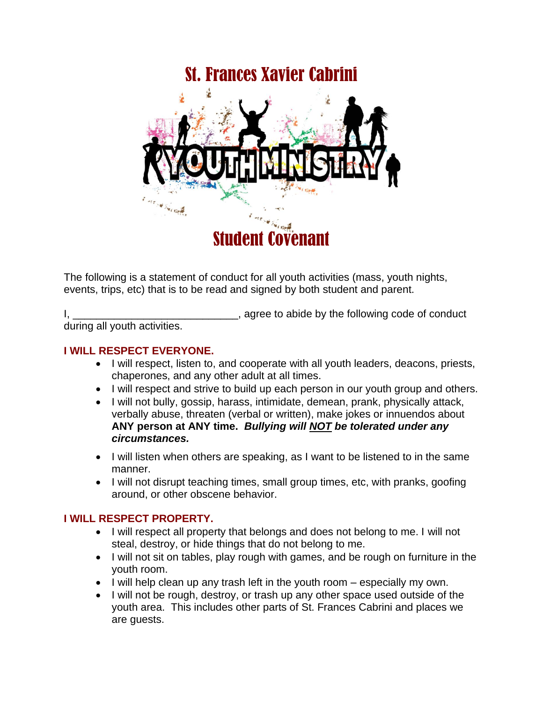# St. Frances Xavier Cabrini



The following is a statement of conduct for all youth activities (mass, youth nights, events, trips, etc) that is to be read and signed by both student and parent.

I, \_\_\_\_\_\_\_\_\_\_\_\_\_\_\_\_\_\_\_\_\_\_\_\_\_\_\_\_\_\_\_\_, agree to abide by the following code of conduct during all youth activities.

### **I WILL RESPECT EVERYONE.**

- I will respect, listen to, and cooperate with all youth leaders, deacons, priests, chaperones, and any other adult at all times.
- I will respect and strive to build up each person in our youth group and others.
- I will not bully, gossip, harass, intimidate, demean, prank, physically attack, verbally abuse, threaten (verbal or written), make jokes or innuendos about **ANY person at ANY time.** *Bullying will NOT be tolerated under any circumstances.*
- I will listen when others are speaking, as I want to be listened to in the same manner.
- I will not disrupt teaching times, small group times, etc, with pranks, goofing around, or other obscene behavior.

# **I WILL RESPECT PROPERTY.**

- I will respect all property that belongs and does not belong to me. I will not steal, destroy, or hide things that do not belong to me.
- I will not sit on tables, play rough with games, and be rough on furniture in the youth room.
- I will help clean up any trash left in the youth room especially my own.
- I will not be rough, destroy, or trash up any other space used outside of the youth area. This includes other parts of St. Frances Cabrini and places we are guests.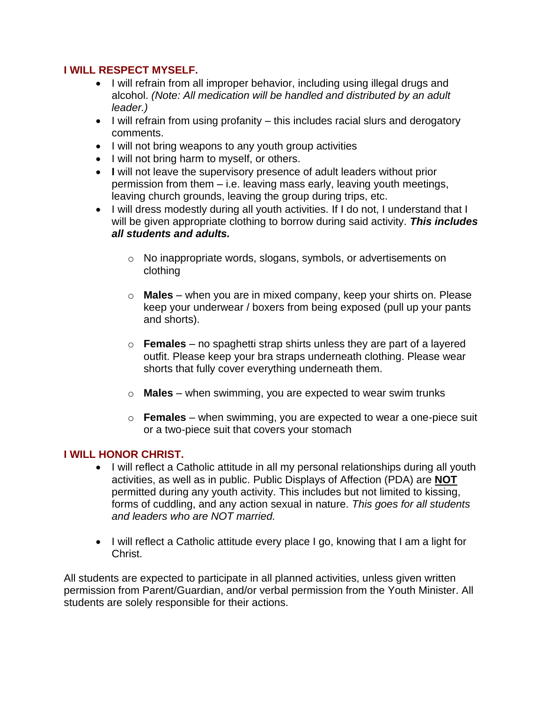## **I WILL RESPECT MYSELF.**

- I will refrain from all improper behavior, including using illegal drugs and alcohol. *(Note: All medication will be handled and distributed by an adult leader.)*
- I will refrain from using profanity this includes racial slurs and derogatory comments.
- I will not bring weapons to any youth group activities
- I will not bring harm to myself, or others.
- **I** will not leave the supervisory presence of adult leaders without prior permission from them – i.e. leaving mass early, leaving youth meetings, leaving church grounds, leaving the group during trips, etc.
- I will dress modestly during all youth activities. If I do not, I understand that I will be given appropriate clothing to borrow during said activity. *This includes all students and adults.*
	- o No inappropriate words, slogans, symbols, or advertisements on clothing
	- o **Males** when you are in mixed company, keep your shirts on. Please keep your underwear / boxers from being exposed (pull up your pants and shorts).
	- o **Females** no spaghetti strap shirts unless they are part of a layered outfit. Please keep your bra straps underneath clothing. Please wear shorts that fully cover everything underneath them.
	- o **Males** when swimming, you are expected to wear swim trunks
	- o **Females** when swimming, you are expected to wear a one-piece suit or a two-piece suit that covers your stomach

# **I WILL HONOR CHRIST.**

- I will reflect a Catholic attitude in all my personal relationships during all youth activities, as well as in public. Public Displays of Affection (PDA) are **NOT** permitted during any youth activity. This includes but not limited to kissing, forms of cuddling, and any action sexual in nature. *This goes for all students and leaders who are NOT married.*
- I will reflect a Catholic attitude every place I go, knowing that I am a light for Christ.

All students are expected to participate in all planned activities, unless given written permission from Parent/Guardian, and/or verbal permission from the Youth Minister. All students are solely responsible for their actions.